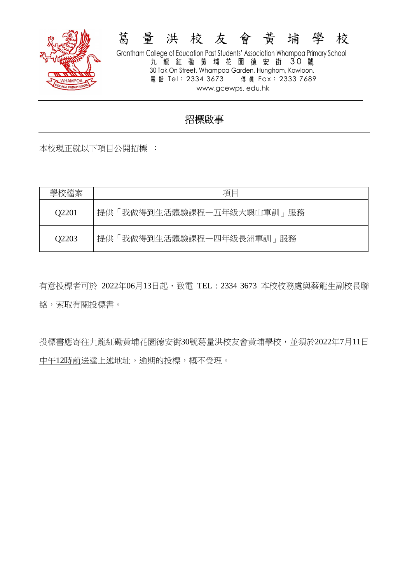

# 葛 量 洪 校 友 會 黃 埔 學 校 Grantham College of Education Past Students' Association Whampoa Primary School

九 龍 紅 磡 黃 埔 花 園 德 安 街 30 號 30 Tak On Street, Whampoa Garden, Hunghom, Kowloon. 電話 Tel: 2334 3673 傳 眞 Fax: 2333 7689 www.gcewps. edu.hk

# 招標啟事

本校現正就以下項目公開招標 :

| 學校檔案  | 項目                        |
|-------|---------------------------|
| Q2201 | 提供「我做得到生活體驗課程一五年級大嶼山軍訓」服務 |
| Q2203 | 提供「我做得到生活體驗課程一四年級長洲軍訓」服務  |

有意投標者可於 2022年06月13日起,致電 TEL : 2334 3673 本校校務處與蔡龍生副校長聯 絡,索取有關投標書。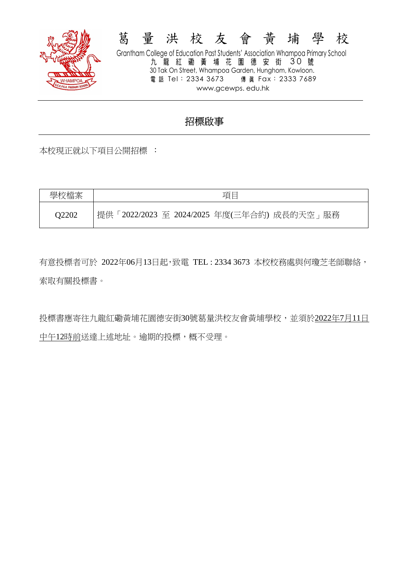

# 葛 量 洪 校 友 會 黃 埔 學 校 Grantham College of Education Past Students' Association Whampoa Primary School

九 龍 紅 磡 黃 埔 花 園 德 安 街 30 號 30 Tak On Street, Whampoa Garden, Hunghom, Kowloon. 電話 Tel: 2334 3673 傳 眞 Fax: 2333 7689 www.gcewps. edu.hk

### 招標啟事

本校現正就以下項目公開招標 :

| 學校檔案  | 項目                                         |
|-------|--------------------------------------------|
| O2202 | 提供「2022/2023 至 2024/2025 年度(三年合約) 成長的天空」服務 |

有意投標者可於 2022年06月13日起,致電 TEL : 2334 3673 本校校務處與何瓊芝老師聯絡, 索取有關投標書。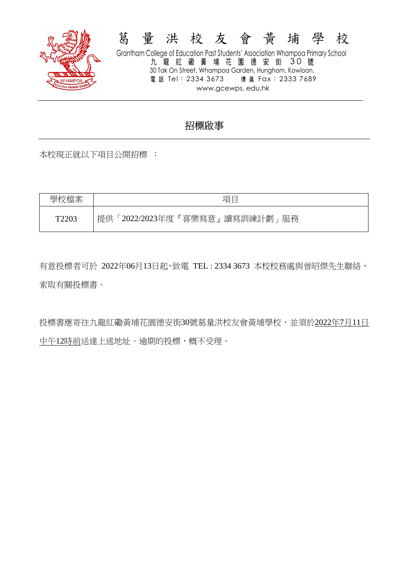

#### 葛 量 洪 校 友 會 黃 埔 學 校 Grantham College of Education Past Students' Association Whampoa Primary School 九 龍 紅 磡 黃 埔 花 園 德 安 街 30 號 30 Tak On Street, Whampoa Garden, Hunghom, Kowloon. 電話 Tel: 2334 3673 傳 眞 Fax: 2333 7689 www.gcewps. edu.hk

## 招標啟事

本校現正就以下項目公開招標 :

學校檔案 | インコンコンコンコンコン 項目 T2203 提供「2022/2023年度『喜樂寫意』讀寫訓練計劃」服務

有意投標者可於 2022年06月13日起,致電 TEL : 2334 3673 本校校務處與曾昭傑先生聯絡, 索取有關投標書。